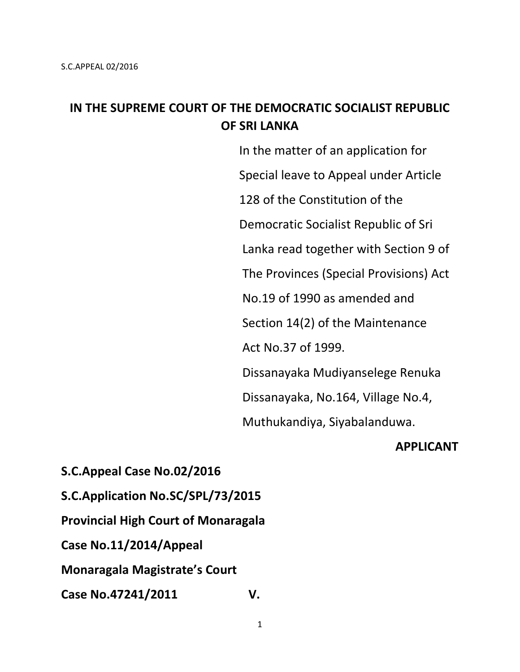# **IN THE SUPREME COURT OF THE DEMOCRATIC SOCIALIST REPUBLIC OF SRI LANKA**

 In the matter of an application for Special leave to Appeal under Article 128 of the Constitution of the Democratic Socialist Republic of Sri Lanka read together with Section 9 of The Provinces (Special Provisions) Act No.19 of 1990 as amended and Section 14(2) of the Maintenance Act No.37 of 1999. Dissanayaka Mudiyanselege Renuka Dissanayaka, No.164, Village No.4, Muthukandiya, Siyabalanduwa.

#### **APPLICANT**

**S.C.Appeal Case No.02/2016 S.C.Application No.SC/SPL/73/2015 Provincial High Court of Monaragala**

**Case No.11/2014/Appeal**

**Monaragala Magistrate's Court**

**Case No.47241/2011 V.**

1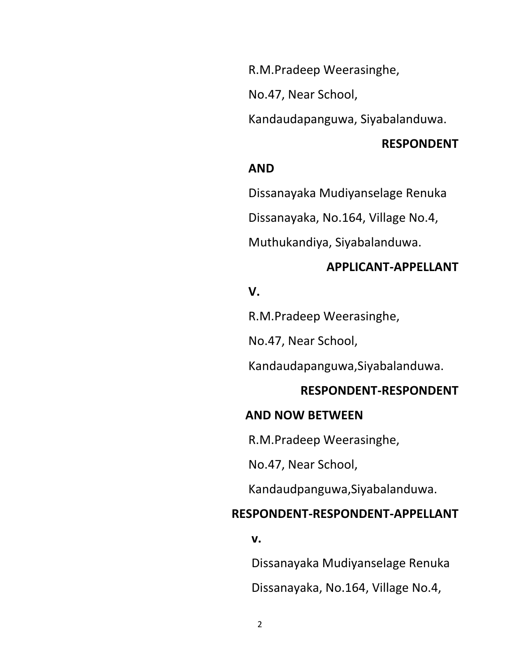R.M.Pradeep Weerasinghe,

No.47, Near School,

Kandaudapanguwa, Siyabalanduwa.

#### **RESPONDENT**

### *AND*

Dissanayaka Mudiyanselage Renuka

Dissanayaka, No.164, Village No.4,

Muthukandiya, Siyabalanduwa.

#### **APPLICANT-APPELLANT**

### *Simulation State Contract Contract Contract Contract Contract Contract Contract Contract Contract Contract Contract Contract Contract Contract Contract Contract Contract Contract Contract Contract Contract Contract Contr*

R.M.Pradeep Weerasinghe,

No.47, Near School,

Kandaudapanguwa,Siyabalanduwa.

#### **RESPONDENT-RESPONDENT**

#### **AND NOW BETWEEN**

R.M.Pradeep Weerasinghe,

No.47, Near School,

Kandaudpanguwa,Siyabalanduwa.

### **RESPONDENT-RESPONDENT-APPELLANT**

*v.* **v. v. v. v. v.** 

Dissanayaka Mudiyanselage Renuka

Dissanayaka, No.164, Village No.4,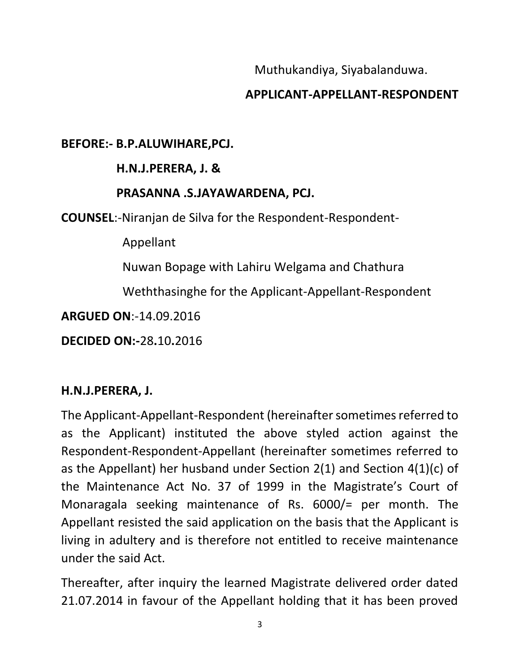Muthukandiya, Siyabalanduwa.

# **APPLICANT-APPELLANT-RESPONDENT**

## **BEFORE:- B.P.ALUWIHARE,PCJ.**

# **H.N.J.PERERA, J. &**

# **PRASANNA .S.JAYAWARDENA, PCJ.**

**COUNSEL**:-Niranjan de Silva for the Respondent-Respondent-

Appellant

Nuwan Bopage with Lahiru Welgama and Chathura

Weththasinghe for the Applicant-Appellant-Respondent

**ARGUED ON**:-14.09.2016

**DECIDED ON:-**28**.**10**.**2016

# **H.N.J.PERERA, J.**

The Applicant-Appellant-Respondent (hereinafter sometimes referred to as the Applicant) instituted the above styled action against the Respondent-Respondent-Appellant (hereinafter sometimes referred to as the Appellant) her husband under Section 2(1) and Section 4(1)(c) of the Maintenance Act No. 37 of 1999 in the Magistrate's Court of Monaragala seeking maintenance of Rs. 6000/= per month. The Appellant resisted the said application on the basis that the Applicant is living in adultery and is therefore not entitled to receive maintenance under the said Act.

Thereafter, after inquiry the learned Magistrate delivered order dated 21.07.2014 in favour of the Appellant holding that it has been proved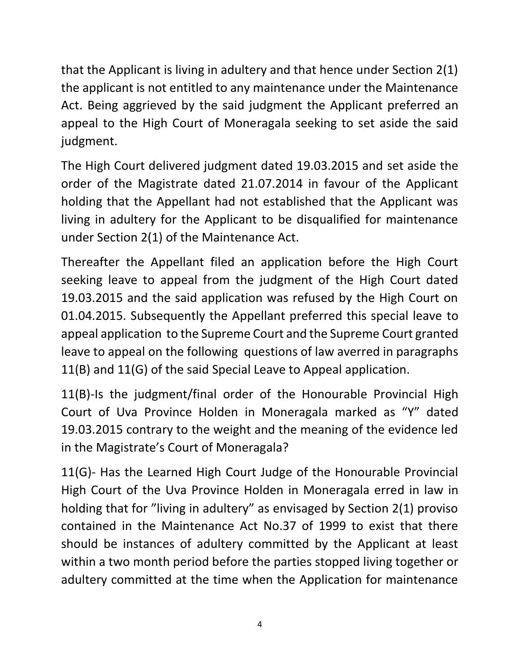that the Applicant is living in adultery and that hence under Section 2(1) the applicant is not entitled to any maintenance under the Maintenance Act. Being aggrieved by the said judgment the Applicant preferred an appeal to the High Court of Moneragala seeking to set aside the said judgment.

The High Court delivered judgment dated 19.03.2015 and set aside the order of the Magistrate dated 21.07.2014 in favour of the Applicant holding that the Appellant had not established that the Applicant was living in adultery for the Applicant to be disqualified for maintenance under Section 2(1) of the Maintenance Act.

Thereafter the Appellant filed an application before the High Court seeking leave to appeal from the judgment of the High Court dated 19.03.2015 and the said application was refused by the High Court on 01.04.2015. Subsequently the Appellant preferred this special leave to appeal application to the Supreme Court and the Supreme Court granted leave to appeal on the following questions of law averred in paragraphs 11(B) and 11(G) of the said Special Leave to Appeal application.

11(B)-Is the judgment/final order of the Honourable Provincial High Court of Uva Province Holden in Moneragala marked as "Y" dated 19.03.2015 contrary to the weight and the meaning of the evidence led in the Magistrate's Court of Moneragala?

11(G)- Has the Learned High Court Judge of the Honourable Provincial High Court of the Uva Province Holden in Moneragala erred in law in holding that for "living in adultery" as envisaged by Section 2(1) proviso contained in the Maintenance Act No.37 of 1999 to exist that there should be instances of adultery committed by the Applicant at least within a two month period before the parties stopped living together or adultery committed at the time when the Application for maintenance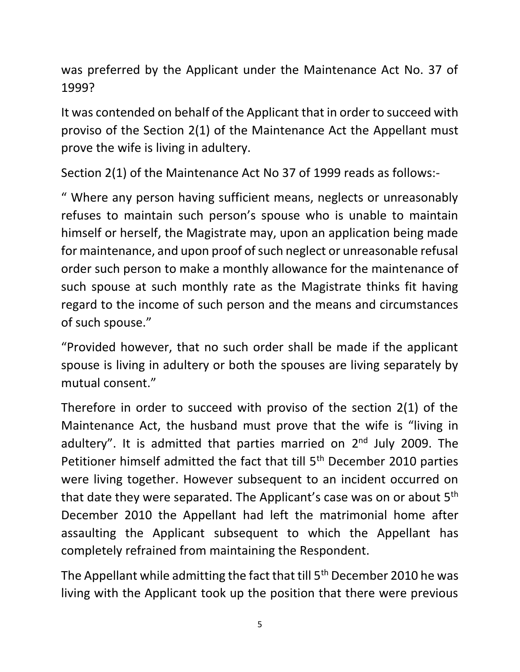was preferred by the Applicant under the Maintenance Act No. 37 of 1999?

It was contended on behalf of the Applicant that in order to succeed with proviso of the Section 2(1) of the Maintenance Act the Appellant must prove the wife is living in adultery.

Section 2(1) of the Maintenance Act No 37 of 1999 reads as follows:-

" Where any person having sufficient means, neglects or unreasonably refuses to maintain such person's spouse who is unable to maintain himself or herself, the Magistrate may, upon an application being made for maintenance, and upon proof of such neglect or unreasonable refusal order such person to make a monthly allowance for the maintenance of such spouse at such monthly rate as the Magistrate thinks fit having regard to the income of such person and the means and circumstances of such spouse."

"Provided however, that no such order shall be made if the applicant spouse is living in adultery or both the spouses are living separately by mutual consent."

Therefore in order to succeed with proviso of the section 2(1) of the Maintenance Act, the husband must prove that the wife is "living in adultery". It is admitted that parties married on 2<sup>nd</sup> July 2009. The Petitioner himself admitted the fact that till 5<sup>th</sup> December 2010 parties were living together. However subsequent to an incident occurred on that date they were separated. The Applicant's case was on or about 5th December 2010 the Appellant had left the matrimonial home after assaulting the Applicant subsequent to which the Appellant has completely refrained from maintaining the Respondent.

The Appellant while admitting the fact that till 5<sup>th</sup> December 2010 he was living with the Applicant took up the position that there were previous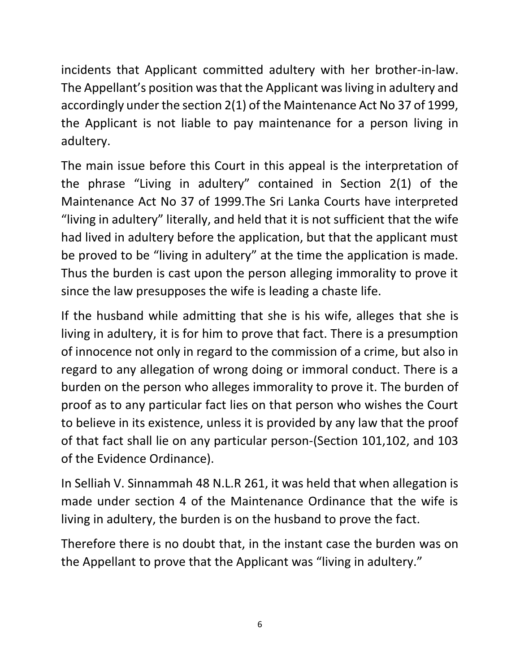incidents that Applicant committed adultery with her brother-in-law. The Appellant's position was that the Applicant was living in adultery and accordingly under the section 2(1) of the Maintenance Act No 37 of 1999, the Applicant is not liable to pay maintenance for a person living in adultery.

The main issue before this Court in this appeal is the interpretation of the phrase "Living in adultery" contained in Section 2(1) of the Maintenance Act No 37 of 1999.The Sri Lanka Courts have interpreted "living in adultery" literally, and held that it is not sufficient that the wife had lived in adultery before the application, but that the applicant must be proved to be "living in adultery" at the time the application is made. Thus the burden is cast upon the person alleging immorality to prove it since the law presupposes the wife is leading a chaste life.

If the husband while admitting that she is his wife, alleges that she is living in adultery, it is for him to prove that fact. There is a presumption of innocence not only in regard to the commission of a crime, but also in regard to any allegation of wrong doing or immoral conduct. There is a burden on the person who alleges immorality to prove it. The burden of proof as to any particular fact lies on that person who wishes the Court to believe in its existence, unless it is provided by any law that the proof of that fact shall lie on any particular person-(Section 101,102, and 103 of the Evidence Ordinance).

In Selliah V. Sinnammah 48 N.L.R 261, it was held that when allegation is made under section 4 of the Maintenance Ordinance that the wife is living in adultery, the burden is on the husband to prove the fact.

Therefore there is no doubt that, in the instant case the burden was on the Appellant to prove that the Applicant was "living in adultery."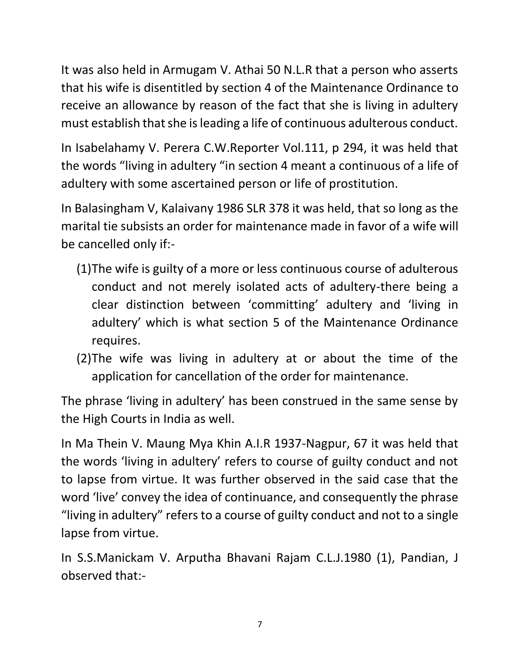It was also held in Armugam V. Athai 50 N.L.R that a person who asserts that his wife is disentitled by section 4 of the Maintenance Ordinance to receive an allowance by reason of the fact that she is living in adultery must establish that she is leading a life of continuous adulterous conduct.

In Isabelahamy V. Perera C.W.Reporter Vol.111, p 294, it was held that the words "living in adultery "in section 4 meant a continuous of a life of adultery with some ascertained person or life of prostitution.

In Balasingham V, Kalaivany 1986 SLR 378 it was held, that so long as the marital tie subsists an order for maintenance made in favor of a wife will be cancelled only if:-

- (1)The wife is guilty of a more or less continuous course of adulterous conduct and not merely isolated acts of adultery-there being a clear distinction between 'committing' adultery and 'living in adultery' which is what section 5 of the Maintenance Ordinance requires.
- (2)The wife was living in adultery at or about the time of the application for cancellation of the order for maintenance.

The phrase 'living in adultery' has been construed in the same sense by the High Courts in India as well.

In Ma Thein V. Maung Mya Khin A.I.R 1937-Nagpur, 67 it was held that the words 'living in adultery' refers to course of guilty conduct and not to lapse from virtue. It was further observed in the said case that the word 'live' convey the idea of continuance, and consequently the phrase "living in adultery" refers to a course of guilty conduct and not to a single lapse from virtue.

In S.S.Manickam V. Arputha Bhavani Rajam C.L.J.1980 (1), Pandian, J observed that:-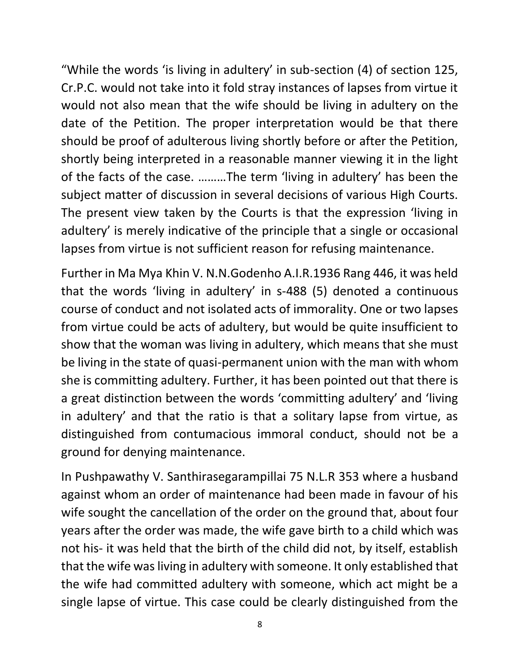"While the words 'is living in adultery' in sub-section (4) of section 125, Cr.P.C. would not take into it fold stray instances of lapses from virtue it would not also mean that the wife should be living in adultery on the date of the Petition. The proper interpretation would be that there should be proof of adulterous living shortly before or after the Petition, shortly being interpreted in a reasonable manner viewing it in the light of the facts of the case. ………The term 'living in adultery' has been the subject matter of discussion in several decisions of various High Courts. The present view taken by the Courts is that the expression 'living in adultery' is merely indicative of the principle that a single or occasional lapses from virtue is not sufficient reason for refusing maintenance.

Further in Ma Mya Khin V. N.N.Godenho A.I.R.1936 Rang 446, it was held that the words 'living in adultery' in s-488 (5) denoted a continuous course of conduct and not isolated acts of immorality. One or two lapses from virtue could be acts of adultery, but would be quite insufficient to show that the woman was living in adultery, which means that she must be living in the state of quasi-permanent union with the man with whom she is committing adultery. Further, it has been pointed out that there is a great distinction between the words 'committing adultery' and 'living in adultery' and that the ratio is that a solitary lapse from virtue, as distinguished from contumacious immoral conduct, should not be a ground for denying maintenance.

In Pushpawathy V. Santhirasegarampillai 75 N.L.R 353 where a husband against whom an order of maintenance had been made in favour of his wife sought the cancellation of the order on the ground that, about four years after the order was made, the wife gave birth to a child which was not his- it was held that the birth of the child did not, by itself, establish that the wife was living in adultery with someone. It only established that the wife had committed adultery with someone, which act might be a single lapse of virtue. This case could be clearly distinguished from the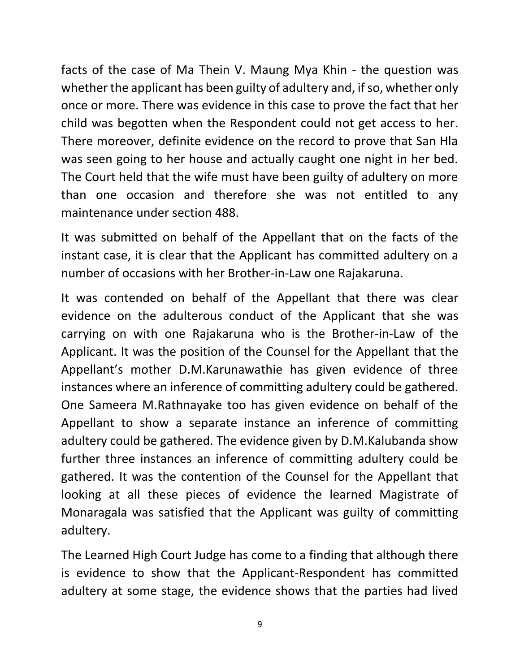facts of the case of Ma Thein V. Maung Mya Khin - the question was whether the applicant has been guilty of adultery and, if so, whether only once or more. There was evidence in this case to prove the fact that her child was begotten when the Respondent could not get access to her. There moreover, definite evidence on the record to prove that San Hla was seen going to her house and actually caught one night in her bed. The Court held that the wife must have been guilty of adultery on more than one occasion and therefore she was not entitled to any maintenance under section 488.

It was submitted on behalf of the Appellant that on the facts of the instant case, it is clear that the Applicant has committed adultery on a number of occasions with her Brother-in-Law one Rajakaruna.

It was contended on behalf of the Appellant that there was clear evidence on the adulterous conduct of the Applicant that she was carrying on with one Rajakaruna who is the Brother-in-Law of the Applicant. It was the position of the Counsel for the Appellant that the Appellant's mother D.M.Karunawathie has given evidence of three instances where an inference of committing adultery could be gathered. One Sameera M.Rathnayake too has given evidence on behalf of the Appellant to show a separate instance an inference of committing adultery could be gathered. The evidence given by D.M.Kalubanda show further three instances an inference of committing adultery could be gathered. It was the contention of the Counsel for the Appellant that looking at all these pieces of evidence the learned Magistrate of Monaragala was satisfied that the Applicant was guilty of committing adultery.

The Learned High Court Judge has come to a finding that although there is evidence to show that the Applicant-Respondent has committed adultery at some stage, the evidence shows that the parties had lived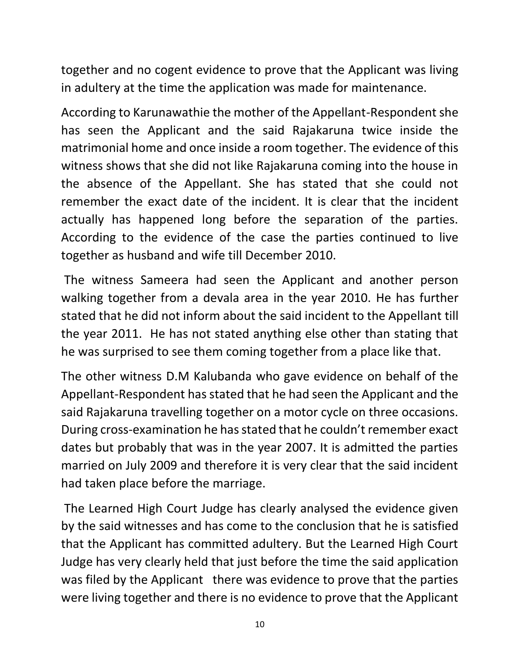together and no cogent evidence to prove that the Applicant was living in adultery at the time the application was made for maintenance.

According to Karunawathie the mother of the Appellant-Respondent she has seen the Applicant and the said Rajakaruna twice inside the matrimonial home and once inside a room together. The evidence of this witness shows that she did not like Rajakaruna coming into the house in the absence of the Appellant. She has stated that she could not remember the exact date of the incident. It is clear that the incident actually has happened long before the separation of the parties. According to the evidence of the case the parties continued to live together as husband and wife till December 2010.

The witness Sameera had seen the Applicant and another person walking together from a devala area in the year 2010. He has further stated that he did not inform about the said incident to the Appellant till the year 2011. He has not stated anything else other than stating that he was surprised to see them coming together from a place like that.

The other witness D.M Kalubanda who gave evidence on behalf of the Appellant-Respondent has stated that he had seen the Applicant and the said Rajakaruna travelling together on a motor cycle on three occasions. During cross-examination he has stated that he couldn't remember exact dates but probably that was in the year 2007. It is admitted the parties married on July 2009 and therefore it is very clear that the said incident had taken place before the marriage.

The Learned High Court Judge has clearly analysed the evidence given by the said witnesses and has come to the conclusion that he is satisfied that the Applicant has committed adultery. But the Learned High Court Judge has very clearly held that just before the time the said application was filed by the Applicant there was evidence to prove that the parties were living together and there is no evidence to prove that the Applicant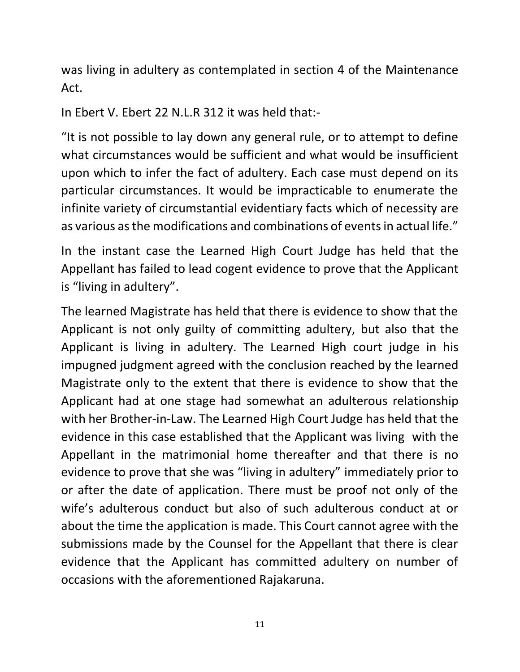was living in adultery as contemplated in section 4 of the Maintenance Act.

In Ebert V. Ebert 22 N.L.R 312 it was held that:-

"It is not possible to lay down any general rule, or to attempt to define what circumstances would be sufficient and what would be insufficient upon which to infer the fact of adultery. Each case must depend on its particular circumstances. It would be impracticable to enumerate the infinite variety of circumstantial evidentiary facts which of necessity are as various as the modifications and combinations of events in actual life."

In the instant case the Learned High Court Judge has held that the Appellant has failed to lead cogent evidence to prove that the Applicant is "living in adultery".

The learned Magistrate has held that there is evidence to show that the Applicant is not only guilty of committing adultery, but also that the Applicant is living in adultery. The Learned High court judge in his impugned judgment agreed with the conclusion reached by the learned Magistrate only to the extent that there is evidence to show that the Applicant had at one stage had somewhat an adulterous relationship with her Brother-in-Law. The Learned High Court Judge has held that the evidence in this case established that the Applicant was living with the Appellant in the matrimonial home thereafter and that there is no evidence to prove that she was "living in adultery" immediately prior to or after the date of application. There must be proof not only of the wife's adulterous conduct but also of such adulterous conduct at or about the time the application is made. This Court cannot agree with the submissions made by the Counsel for the Appellant that there is clear evidence that the Applicant has committed adultery on number of occasions with the aforementioned Rajakaruna.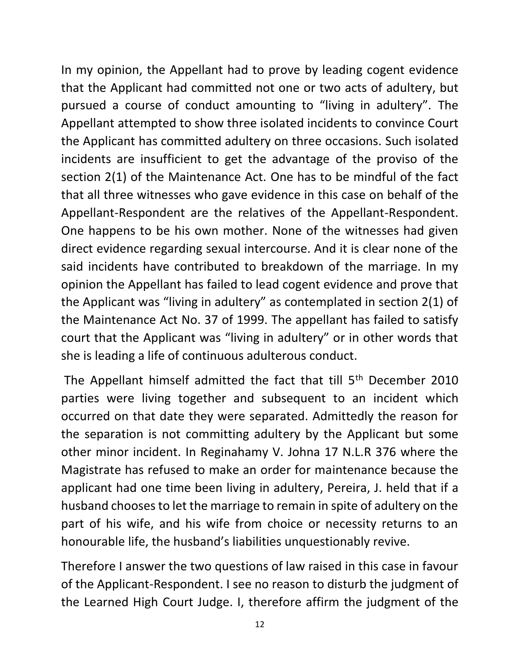In my opinion, the Appellant had to prove by leading cogent evidence that the Applicant had committed not one or two acts of adultery, but pursued a course of conduct amounting to "living in adultery". The Appellant attempted to show three isolated incidents to convince Court the Applicant has committed adultery on three occasions. Such isolated incidents are insufficient to get the advantage of the proviso of the section 2(1) of the Maintenance Act. One has to be mindful of the fact that all three witnesses who gave evidence in this case on behalf of the Appellant-Respondent are the relatives of the Appellant-Respondent. One happens to be his own mother. None of the witnesses had given direct evidence regarding sexual intercourse. And it is clear none of the said incidents have contributed to breakdown of the marriage. In my opinion the Appellant has failed to lead cogent evidence and prove that the Applicant was "living in adultery" as contemplated in section 2(1) of the Maintenance Act No. 37 of 1999. The appellant has failed to satisfy court that the Applicant was "living in adultery" or in other words that she is leading a life of continuous adulterous conduct.

The Appellant himself admitted the fact that till 5<sup>th</sup> December 2010 parties were living together and subsequent to an incident which occurred on that date they were separated. Admittedly the reason for the separation is not committing adultery by the Applicant but some other minor incident. In Reginahamy V. Johna 17 N.L.R 376 where the Magistrate has refused to make an order for maintenance because the applicant had one time been living in adultery, Pereira, J. held that if a husband chooses to let the marriage to remain in spite of adultery on the part of his wife, and his wife from choice or necessity returns to an honourable life, the husband's liabilities unquestionably revive.

Therefore I answer the two questions of law raised in this case in favour of the Applicant-Respondent. I see no reason to disturb the judgment of the Learned High Court Judge. I, therefore affirm the judgment of the